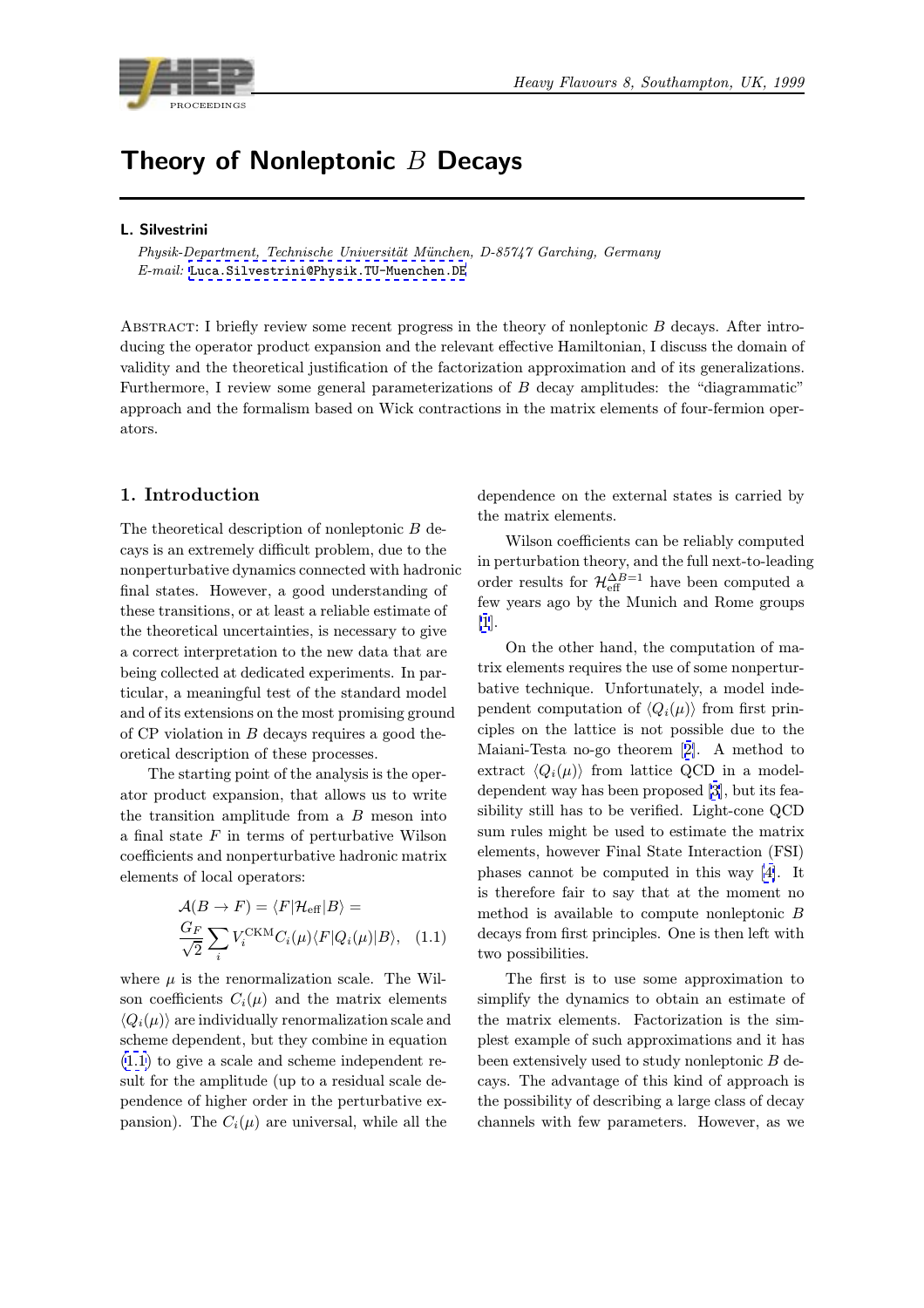<span id="page-0-0"></span>

# Theory of Nonleptonic  $B$  Decays

#### L. Silvestrini

Physik-Department, Technische Universität München, D-85747 Garching, Germany E-mail: Luca.Silvestrini@Physik.TU-Muenchen.DE

ABSTRACT: I briefly review some recent progress in the theory of nonleptonic B decays. After introducing th[e operator product expansion and the relev](mailto:Luca.Silvestrini@Physik.TU-Muenchen.DE)ant effective Hamiltonian, I discuss the domain of validity and the theoretical justification of the factorization approximation and of its generalizations. Furthermore, I review some general parameterizations of B decay amplitudes: the "diagrammatic" approach and the formalism based on Wick contractions in the matrix elements of four-fermion operators.

# 1. Introduction

The theoretical description of nonleptonic  $B$  decays is an extremely difficult problem, due to the nonperturbative dynamics connected with hadronic final states. However, a good understanding of these transitions, or at least a reliable estimate of the theoretical uncertainties, is necessary to give a correct interpretation to the new data that are being collected at dedicated experiments. In particular, a meaningful test of the standard model and of its extensions on the most promising ground of  $CP$  violation in  $B$  decays requires a good theoretical description of these processes.

The starting point of the analysis is the operator product expansion, that allows us to write the transition amplitude from a  $B$  meson into a final state  $F$  in terms of perturbative Wilson coefficients and nonperturbative hadronic matrix elements of local operators:

$$
\mathcal{A}(B \to F) = \langle F | \mathcal{H}_{\text{eff}} | B \rangle =
$$
  

$$
\frac{G_F}{\sqrt{2}} \sum_{i} V_i^{\text{CKM}} C_i(\mu) \langle F | Q_i(\mu) | B \rangle, \quad (1.1)
$$

where  $\mu$  is the renormalization scale. The Wilson coefficients  $C_i(\mu)$  and the matrix elements  $\langle Q_i(\mu) \rangle$  are individually renormalization scale and scheme dependent, but they combine in equation (1.1) to give a scale and scheme independent result for the amplitude (up to a residual scale dependence of higher order in the perturbative expansion). The  $C_i(\mu)$  are universal, while all the

dependence on the external states is carried by the matrix elements.

Wilson coefficients can be reliably computed in perturbation theory, and the full next-to-leading order results for  $\mathcal{H}_{\text{eff}}^{\Delta B=1}$  have been computed a few years ago by the Munich and Rome groups [1].

On the other hand, the computation of matrix elements requires the use of some nonperturbative technique. Unfortunately, a model inde[pe](#page-8-0)ndent computation of  $\langle Q_i(\mu) \rangle$  from first principles on the lattice is not possible due to the Maiani-Testa no-go theorem [2]. A method to extract  $\langle Q_i(\mu) \rangle$  from lattice QCD in a modeldependent way has been proposed [3], but its feasibility still has to be verified. Light-cone QCD sum rules might be used to es[ti](#page-9-0)mate the matrix elements, however Final State Interaction (FSI) phases cannot be computed in th[is](#page-9-0) way [4]. It is therefore fair to say that at the moment no method is available to compute nonleptonic B decays from first principles. One is then lef[t](#page-9-0) with two possibilities.

The first is to use some approximation to simplify the dynamics to obtain an estimate of the matrix elements. Factorization is the simplest example of such approximations and it has been extensively used to study nonleptonic B decays. The advantage of this kind of approach is the possibility of describing a large class of decay channels with few parameters. However, as we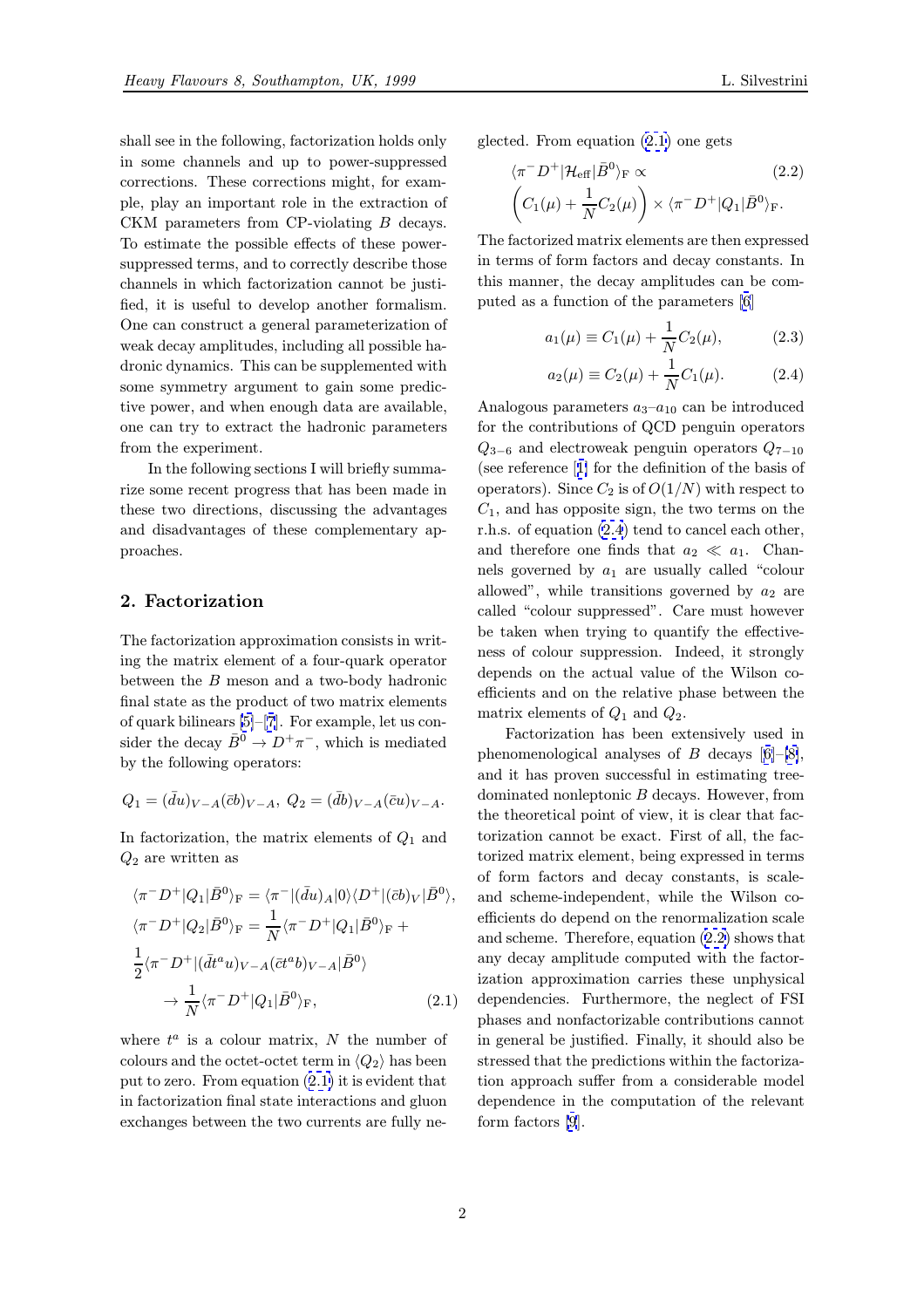<span id="page-1-0"></span>shall see in the following, factorization holds only in some channels and up to power-suppressed corrections. These corrections might, for example, play an important role in the extraction of CKM parameters from CP-violating B decays. To estimate the possible effects of these powersuppressed terms, and to correctly describe those channels in which factorization cannot be justified, it is useful to develop another formalism. One can construct a general parameterization of weak decay amplitudes, including all possible hadronic dynamics. This can be supplemented with some symmetry argument to gain some predictive power, and when enough data are available, one can try to extract the hadronic parameters from the experiment.

In the following sections I will briefly summarize some recent progress that has been made in these two directions, discussing the advantages and disadvantages of these complementary approaches.

# 2. Factorization

The factorization approximation consists in writing the matrix element of a four-quark operator between the B meson and a two-body hadronic final state as the product of two matrix elements of quark bilinears [5]–[7]. For example, let us consider the decay  $\bar{B}^0 \to D^+\pi^-$ , which is mediated by the following operators:

$$
Q_1 = (\bar{d}u)_{V-A}(\bar{c}b)_{V-A}, \ Q_2 = (\bar{d}b)_{V-A}(\bar{c}u)_{V-A}.
$$

In factorization, the matrix elements of  $Q_1$  and  $Q_2$  are written as

$$
\langle \pi^- D^+ | Q_1 | \bar{B}^0 \rangle_{\rm F} = \langle \pi^- | (\bar{d}u)_A | 0 \rangle \langle D^+ | (\bar{c}b)_V | \bar{B}^0 \rangle,
$$
  

$$
\langle \pi^- D^+ | Q_2 | \bar{B}^0 \rangle_{\rm F} = \frac{1}{N} \langle \pi^- D^+ | Q_1 | \bar{B}^0 \rangle_{\rm F} +
$$
  

$$
\frac{1}{2} \langle \pi^- D^+ | (\bar{d}t^a u)_{V-A} (\bar{c}t^a b)_{V-A} | \bar{B}^0 \rangle
$$
  

$$
\to \frac{1}{N} \langle \pi^- D^+ | Q_1 | \bar{B}^0 \rangle_{\rm F}, \qquad (2.1)
$$

where  $t^a$  is a colour matrix, N the number of colours and the octet-octet term in  $\langle Q_2 \rangle$  has been put to zero. From equation (2.1) it is evident that in factorization final state interactions and gluon exchanges between the two currents are fully neglected. From equation (2.1) one gets

$$
\langle \pi^- D^+ | \mathcal{H}_{\text{eff}} | \bar{B}^0 \rangle_F \propto (2.2)
$$
  

$$
\left( C_1(\mu) + \frac{1}{N} C_2(\mu) \right) \times \langle \pi^- D^+ | Q_1 | \bar{B}^0 \rangle_F.
$$

The factorized matrix elements are then expressed in terms of form factors and decay constants. In this manner, the decay amplitudes can be computed as a function of the parameters [6]

$$
a_1(\mu) \equiv C_1(\mu) + \frac{1}{N}C_2(\mu), \tag{2.3}
$$

$$
a_2(\mu) \equiv C_2(\mu) + \frac{1}{N}C_1(\mu).
$$
 (2.4)

Analogous parameters  $a_3-a_{10}$  can be introduced for the contributions of QCD penguin operators  $Q_{3-6}$  and electroweak penguin operators  $Q_{7-10}$ (see reference [1] for the definition of the basis of operators). Since  $C_2$  is of  $O(1/N)$  with respect to  $C_1$ , and has opposite sign, the two terms on the r.h.s. of equation (2.4) tend to cancel each other, and therefore [on](#page-8-0)e finds that  $a_2 \ll a_1$ . Channels governed by  $a_1$  are usually called "colour allowed", while transitions governed by  $a_2$  are called "colour suppressed". Care must however be taken when trying to quantify the effectiveness of colour suppression. Indeed, it strongly depends on the actual value of the Wilson coefficients and on the relative phase between the matrix elements of  $Q_1$  and  $Q_2$ .

Factorization has been extensively used in phenomenological analyses of B decays  $[6]-[8]$ , and it has proven successful in estimating treedominated nonleptonic B decays. However, from the theoretical point of view, it is clear that factorization cannot be exact. First of all, t[he](#page-9-0) f[ac](#page-9-0)torized matrix element, being expressed in terms of form factors and decay constants, is scaleand scheme-independent, while the Wilson coefficients do depend on the renormalization scale and scheme. Therefore, equation (2.2) shows that any decay amplitude computed with the factorization approximation carries these unphysical dependencies. Furthermore, the neglect of FSI phases and nonfactorizable contributions cannot in general be justified. Finally, it should also be stressed that the predictions within the factorization approach suffer from a considerable model dependence in the computation of the relevant form factors [9].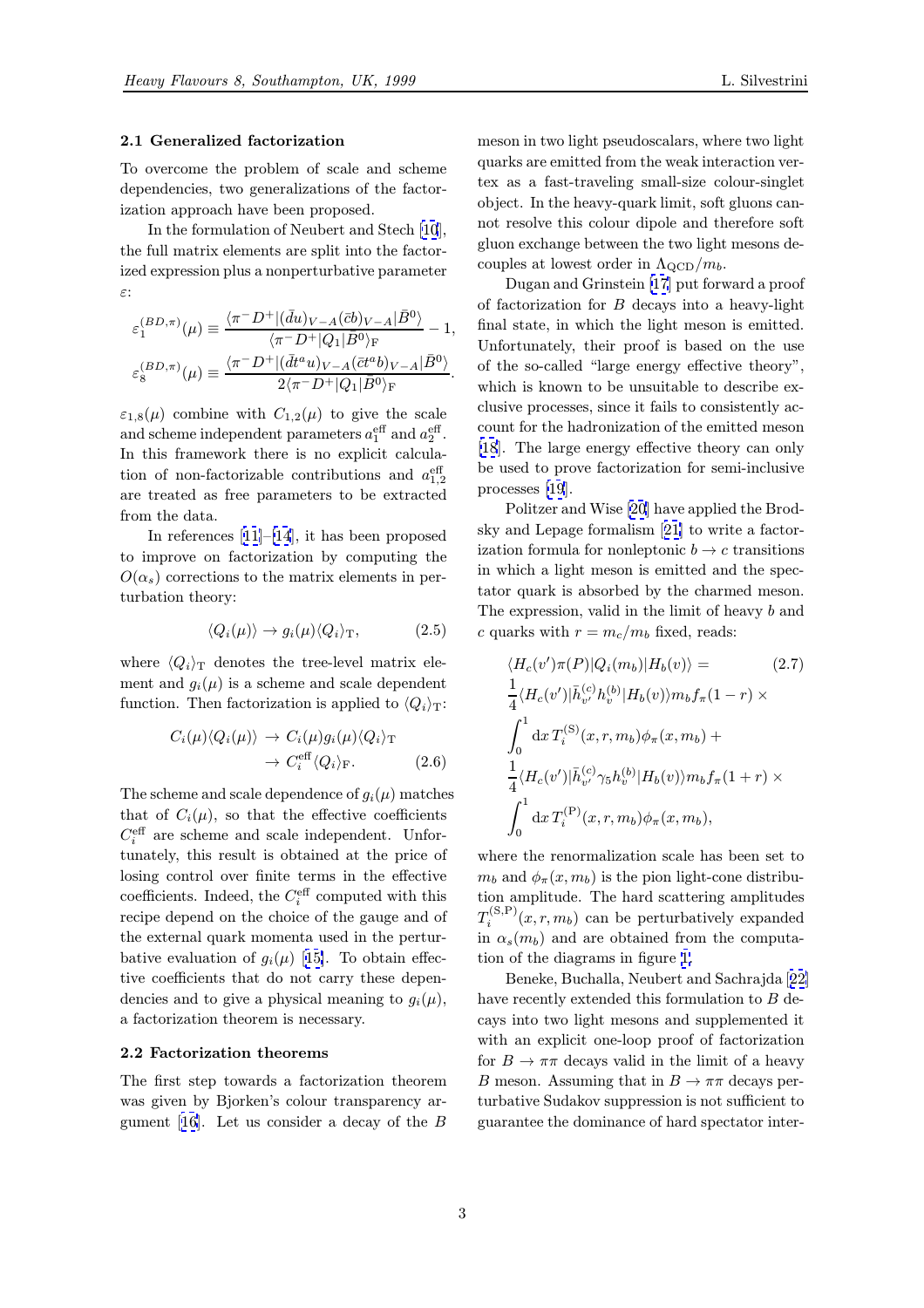## <span id="page-2-0"></span>2.1 Generalized factorization

To overcome the problem of scale and scheme dependencies, two generalizations of the factorization approach have been proposed.

In the formulation of Neubert and Stech [10], the full matrix elements are split into the factorized expression plus a nonperturbative parameter ε:

$$
\varepsilon_1^{(BD,\pi)}(\mu) \equiv \frac{\langle \pi^- D^+ | (\bar{d}u)_{V-A} (\bar{c}b)_{V-A} | \bar{B}^0 \rangle}{\langle \pi^- D^+ | Q_1 | \bar{B}^0 \rangle_{\rm F}} - 1,
$$
  

$$
\varepsilon_8^{(BD,\pi)}(\mu) \equiv \frac{\langle \pi^- D^+ | (\bar{d}t^a u)_{V-A} (\bar{c}t^a b)_{V-A} | \bar{B}^0 \rangle}{2\langle \pi^- D^+ | Q_1 | \bar{B}^0 \rangle_{\rm F}}.
$$

 $\varepsilon_{1,8}(\mu)$  combine with  $C_{1,2}(\mu)$  to give the scale and scheme independent parameters  $a_1^{\text{eff}}$  and  $a_2^{\text{eff}}$ . In this framework there is no explicit calculation of non-factorizable contributions and  $a_{1,2}^{\text{eff}}$ are treated as free parameters to be extracted from the data.

In references [11]–[14], it has been proposed to improve on factorization by computing the  $O(\alpha_s)$  corrections to the matrix elements in perturbation theory:

$$
\langle Q_i(\mu) \rangle \to g_i(\mu) \langle Q_i \rangle_{\mathcal{T}}, \tag{2.5}
$$

where  $\langle Q_i \rangle_T$  denotes the tree-level matrix element and  $g_i(\mu)$  is a scheme and scale dependent function. Then factorization is applied to  $\langle Q_i \rangle_T$ :

$$
C_i(\mu)\langle Q_i(\mu)\rangle \to C_i(\mu)g_i(\mu)\langle Q_i\rangle_{\mathrm{T}} \to C_i^{\mathrm{eff}}\langle Q_i\rangle_{\mathrm{F}}.
$$
 (2.6)

The scheme and scale dependence of  $g_i(\mu)$  matches that of  $C_i(\mu)$ , so that the effective coefficients  $C_i^{\text{eff}}$  are scheme and scale independent. Unfortunately, this result is obtained at the price of losing control over finite terms in the effective coefficients. Indeed, the  $C_i^{\text{eff}}$  computed with this recipe depend on the choice of the gauge and of the external quark momenta used in the perturbative evaluation of  $g_i(\mu)$  [15]. To obtain effective coefficients that do not carry these dependencies and to give a physical meaning to  $g_i(\mu)$ , a factorization theorem is [nece](#page-9-0)ssary.

# 2.2 Factorization theorems

The first step towards a factorization theorem was given by Bjorken's colour transparency argument [16]. Let us consider a decay of the  $B$ 

meson in two light pseudoscalars, where two light quarks are emitted from the weak interaction vertex as a fast-traveling small-size colour-singlet object. In the heavy-quark limit, soft gluons cannot resolve this colour dipole and therefore soft gluon exchange between the two light mesons decouples at lowest order in  $\Lambda_{\text{QCD}}/m_b$ .

Dugan and Grinstein [17] put forward a proof of factorization for B decays into a heavy-light final state, in which the light meson is emitted. Unfortunately, their proof is based on the use of the so-called "large en[erg](#page-9-0)y effective theory", which is known to be unsuitable to describe exclusive processes, since it fails to consistently account for the hadronization of the emitted meson [18]. The large energy effective theory can only be used to prove factorization for semi-inclusive processes [19].

Politzer and Wise [20] have applied the Brod[sky](#page-9-0) and Lepage formalism [21] to write a factorization formula for nonleptonic  $b \to c$  transitions in which [a lig](#page-9-0)ht meson is emitted and the spectator quark is absorb[ed b](#page-9-0)y the charmed meson. The expression, valid in the [lim](#page-9-0)it of heavy b and c quarks with  $r = m_c/m_b$  fixed, reads:

$$
\langle H_c(v')\pi(P)|Q_i(m_b)|H_b(v)\rangle = (2.7)
$$
  
\n
$$
\frac{1}{4}\langle H_c(v')|\bar{h}_{v'}^{(c)}h_v^{(b)}|H_b(v)\rangle m_b f_{\pi}(1-r)\times
$$
  
\n
$$
\int_0^1 dx T_i^{(S)}(x, r, m_b)\phi_{\pi}(x, m_b) +
$$
  
\n
$$
\frac{1}{4}\langle H_c(v')|\bar{h}_{v'}^{(c)}\gamma_5 h_v^{(b)}|H_b(v)\rangle m_b f_{\pi}(1+r)\times
$$
  
\n
$$
\int_0^1 dx T_i^{(P)}(x, r, m_b)\phi_{\pi}(x, m_b),
$$

where the renormalization scale has been set to  $m_b$  and  $\phi_\pi(x, m_b)$  is the pion light-cone distribution amplitude. The hard scattering amplitudes  $T_i^{(S,P)}(x,r,m_b)$  can be perturbatively expanded in  $\alpha_s(m_b)$  and are obtained from the computation of the diagrams in figure 1.

Beneke, Buchalla, Neubert and Sachrajda [22] have recently extended this formulation to B decays into two light mesons and supplemented it with an explicit one-loop pro[of](#page-3-0) of factorization for  $B \to \pi\pi$  decays valid in the limit of a hea[vy](#page-9-0) B meson. Assuming that in  $B \to \pi\pi$  decays perturbative Sudakov suppression is not sufficient to guarantee the dominance of hard spectator inter-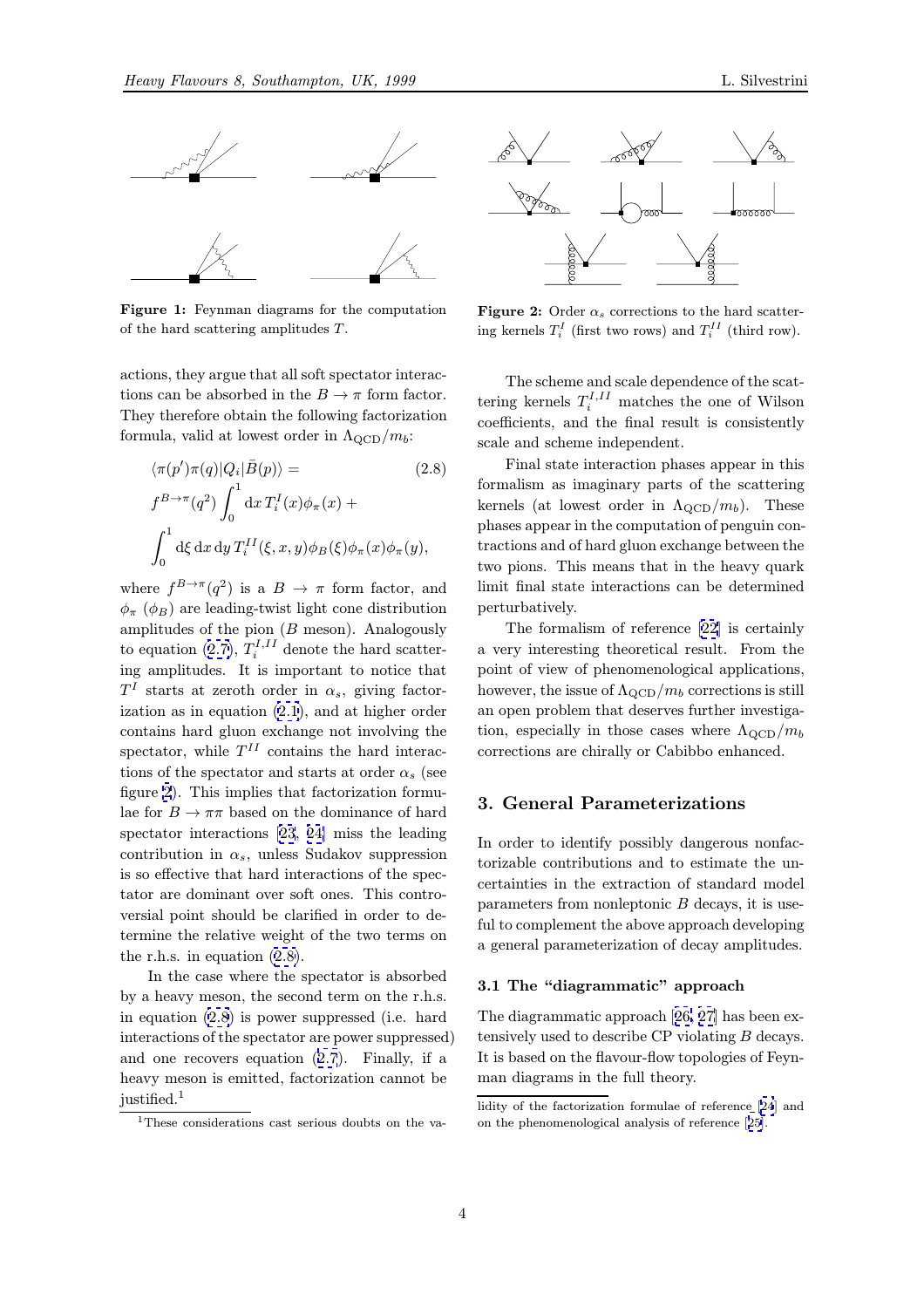<span id="page-3-0"></span>

Figure 1: Feynman diagrams for the computation of the hard scattering amplitudes T.

actions, they argue that all soft spectator interactions can be absorbed in the  $B \to \pi$  form factor. They therefore obtain the following factorization formula, valid at lowest order in  $\Lambda_{\rm QCD}/m_b$ :

$$
\langle \pi(p')\pi(q)|Q_i|\bar{B}(p)\rangle = \qquad (2.8)
$$
  

$$
f^{B\to\pi}(q^2) \int_0^1 dx T_i^I(x)\phi_\pi(x) +
$$
  

$$
\int_0^1 d\xi dx dy T_i^{II}(\xi, x, y)\phi_B(\xi)\phi_\pi(x)\phi_\pi(y),
$$

where  $f^{B\to\pi}(q^2)$  is a  $B\to\pi$  form factor, and  $\phi_{\pi}$  ( $\phi_{B}$ ) are leading-twist light cone distribution amplitudes of the pion  $(B \text{ meson})$ . Analogously to equation (2.7),  $T_i^{I,II}$  denote the hard scattering amplitudes. It is important to notice that  $T<sup>I</sup>$  starts at zeroth order in  $\alpha_s$ , giving factorization as in equation (2.1), and at higher order contains har[d gl](#page-2-0)uon exchange not involving the spectator, while  $T^{II}$  contains the hard interactions of the spectator and starts at order  $\alpha_s$  (see figure 2). This implies [tha](#page-1-0)t factorization formulae for  $B\to\pi\pi$  based on the dominance of hard spectator interactions [23, 24] miss the leading contribution in  $\alpha_s$ , unless Sudakov suppression is so effective that hard interactions of the spectator are dominant over soft ones. This controversial point should be [cl](#page-9-0)a[rifie](#page-9-0)d in order to determine the relative weight of the two terms on the r.h.s. in equation (2.8).

In the case where the spectator is absorbed by a heavy meson, the second term on the r.h.s. in equation (2.8) is power suppressed (i.e. hard interactions of the spectator are power suppressed) and one recovers equation (2.7). Finally, if a heavy meson is emitted, factorization cannot be justified.<sup>1</sup>



**Figure 2:** Order  $\alpha_s$  corrections to the hard scattering kernels  $T_i^I$  (first two rows) and  $T_i^{II}$  (third row).

The scheme and scale dependence of the scattering kernels  $T_i^{I,II}$  matches the one of Wilson coefficients, and the final result is consistently scale and scheme independent.

Final state interaction phases appear in this formalism as imaginary parts of the scattering kernels (at lowest order in  $\Lambda_{\rm QCD}/m_b$ ). These phases appear in the computation of penguin contractions and of hard gluon exchange between the two pions. This means that in the heavy quark limit final state interactions can be determined perturbatively.

The formalism of reference [22] is certainly a very interesting theoretical result. From the point of view of phenomenological applications, however, the issue of  $\Lambda_{\rm QCD}/m_b$  corrections is still an open problem that deserves fu[rth](#page-9-0)er investigation, especially in those cases where  $\Lambda_{\text{QCD}}/m_b$ corrections are chirally or Cabibbo enhanced.

# 3. General Parameterizations

In order to identify possibly dangerous nonfactorizable contributions and to estimate the uncertainties in the extraction of standard model parameters from nonleptonic  $B$  decays, it is useful to complement the above approach developing a general parameterization of decay amplitudes.

# 3.1 The "diagrammatic" approach

The diagrammatic approach [26, 27] has been extensively used to describe CP violating B decays. It is based on the flavour-flow topologies of Feynman diagrams in the full the[ory](#page-10-0).

<sup>1</sup>These considerations cast seri[ous](#page-2-0) doubts on the va-

lidity of the factorization formulae of [ref](#page-10-0)erence [24] and on the phenomenological analysis of reference [25].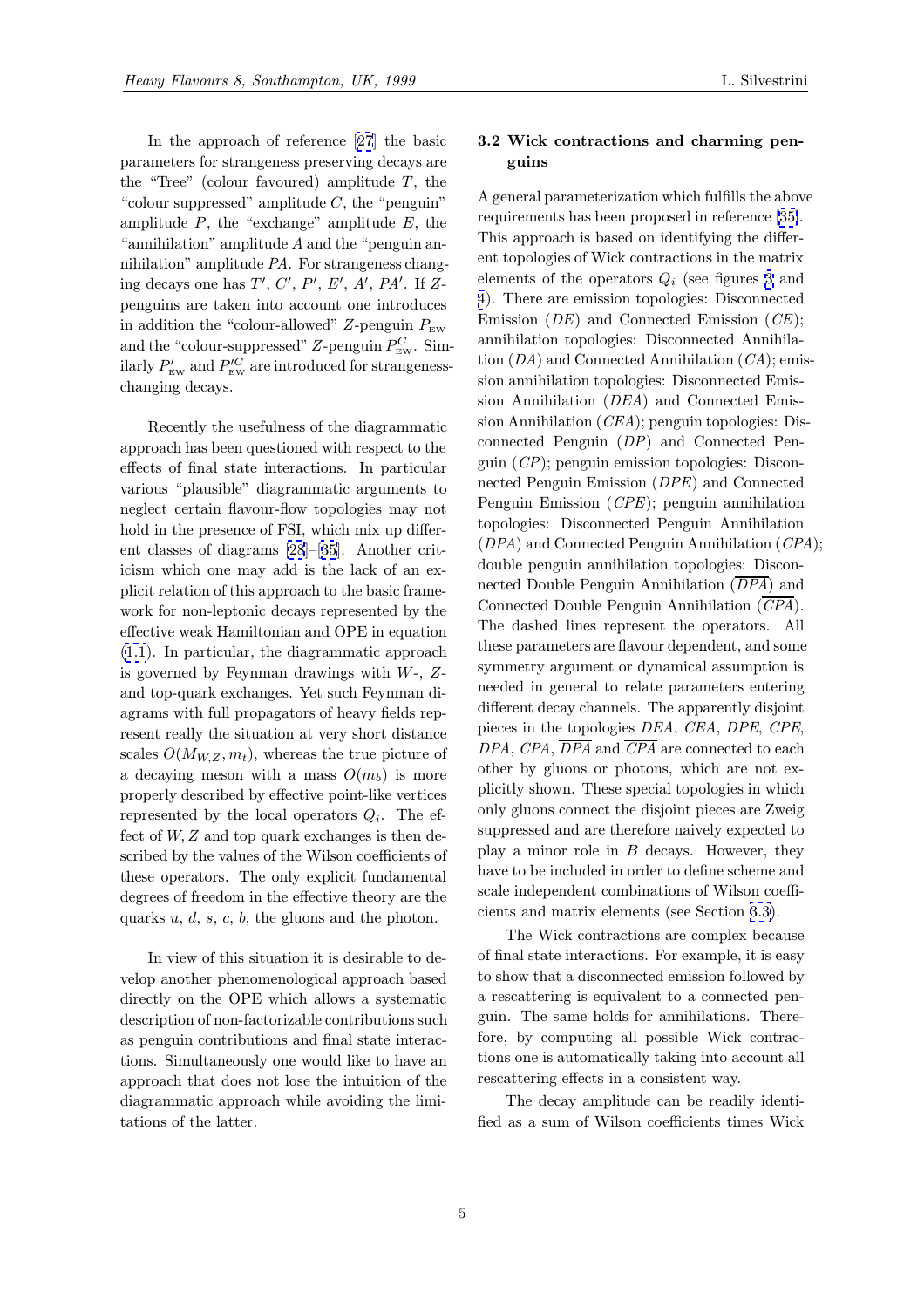In the approach of reference [27] the basic parameters for strangeness preserving decays are the "Tree" (colour favoured) amplitude  $T$ , the "colour suppressed" amplitude  $C$ , the "penguin" amp[litu](#page-10-0)de  $P$ , the "exchange" amplitude  $E$ , the "annihilation" amplitude  $A$  and the "penguin annihilation" amplitude PA. For strangeness changing decays one has  $T', C', P', E', A', PA'.$  If Zpenguins are taken into account one introduces in addition the "colour-allowed" Z-penguin  $P_{\text{EW}}$ and the "colour-suppressed" Z-penguin  $P_{\text{EW}}^C$ . Similarly  $P_{\text{EW}}'$  and  $P_{\text{EW}}^{\prime C}$  are introduced for strangenesschanging decays.

Recently the usefulness of the diagrammatic approach has been questioned with respect to the effects of final state interactions. In particular various "plausible" diagrammatic arguments to neglect certain flavour-flow topologies may not hold in the presence of FSI, which mix up different classes of diagrams [28]–[35]. Another criticism which one may add is the lack of an explicit relation of this approach to the basic framework for non-leptonic decays represented by the effective weak Hamiltoni[an](#page-10-0) an[d O](#page-10-0)PE in equation (1.1). In particular, the diagrammatic approach is governed by Feynman drawings with W-, Zand top-quark exchanges. Yet such Feynman diagrams with full propagators of heavy fields rep[rese](#page-0-0)nt really the situation at very short distance scales  $O(M_{W,Z}, m_t)$ , whereas the true picture of a decaying meson with a mass  $O(m_b)$  is more properly described by effective point-like vertices represented by the local operators  $Q_i$ . The effect of  $W, Z$  and top quark exchanges is then described by the values of the Wilson coefficients of these operators. The only explicit fundamental degrees of freedom in the effective theory are the quarks  $u, d, s, c, b$ , the gluons and the photon.

In view of this situation it is desirable to develop another phenomenological approach based directly on the OPE which allows a systematic description of non-factorizable contributions such as penguin contributions and final state interactions. Simultaneously one would like to have an approach that does not lose the intuition of the diagrammatic approach while avoiding the limitations of the latter.

### 3.2 Wick contractions and charming penguins

A general parameterization which fulfills the above requirements has been proposed in reference [35]. This approach is based on identifying the different topologies of Wick contractions in the matrix elements of the operators  $Q_i$  (see figures 3 and 4). There are emission topologies: Disconne[cted](#page-10-0) Emission  $(DE)$  and Connected Emission  $(CE)$ ; annihilation topologies: Disconnected Annihilation  $(DA)$  and Connected Annihilation  $(CA)$ ; emis[si](#page-5-0)on annihilation topologies: Disconnected Emission Annihilation (DEA) and Connected Emission Annihilation (CEA); penguin topologies: Disconnected Penguin (DP) and Connected Penguin (CP); penguin emission topologies: Disconnected Penguin Emission (DPE) and Connected Penguin Emission (CPE); penguin annihilation topologies: Disconnected Penguin Annihilation (DPA) and Connected Penguin Annihilation (CPA); double penguin annihilation topologies: Disconnected Double Penguin Annihilation  $(\overline{DPA})$  and Connected Double Penguin Annihilation  $(\overline{CPA})$ . The dashed lines represent the operators. All these parameters are flavour dependent, and some symmetry argument or dynamical assumption is needed in general to relate parameters entering different decay channels. The apparently disjoint pieces in the topologies DEA, CEA, DPE, CPE,  $DPA$ ,  $CPA$ ,  $\overline{DPA}$  and  $\overline{CPA}$  are connected to each other by gluons or photons, which are not explicitly shown. These special topologies in which only gluons connect the disjoint pieces are Zweig suppressed and are therefore naively expected to play a minor role in  $B$  decays. However, they have to be included in order to define scheme and scale independent combinations of Wilson coefficients and matrix elements (see Section 3.3).

The Wick contractions are complex because of final state interactions. For example, it is easy to show that a disconnected emission followed by a rescattering is equivalent to a connec[ted](#page-6-0) penguin. The same holds for annihilations. Therefore, by computing all possible Wick contractions one is automatically taking into account all rescattering effects in a consistent way.

The decay amplitude can be readily identified as a sum of Wilson coefficients times Wick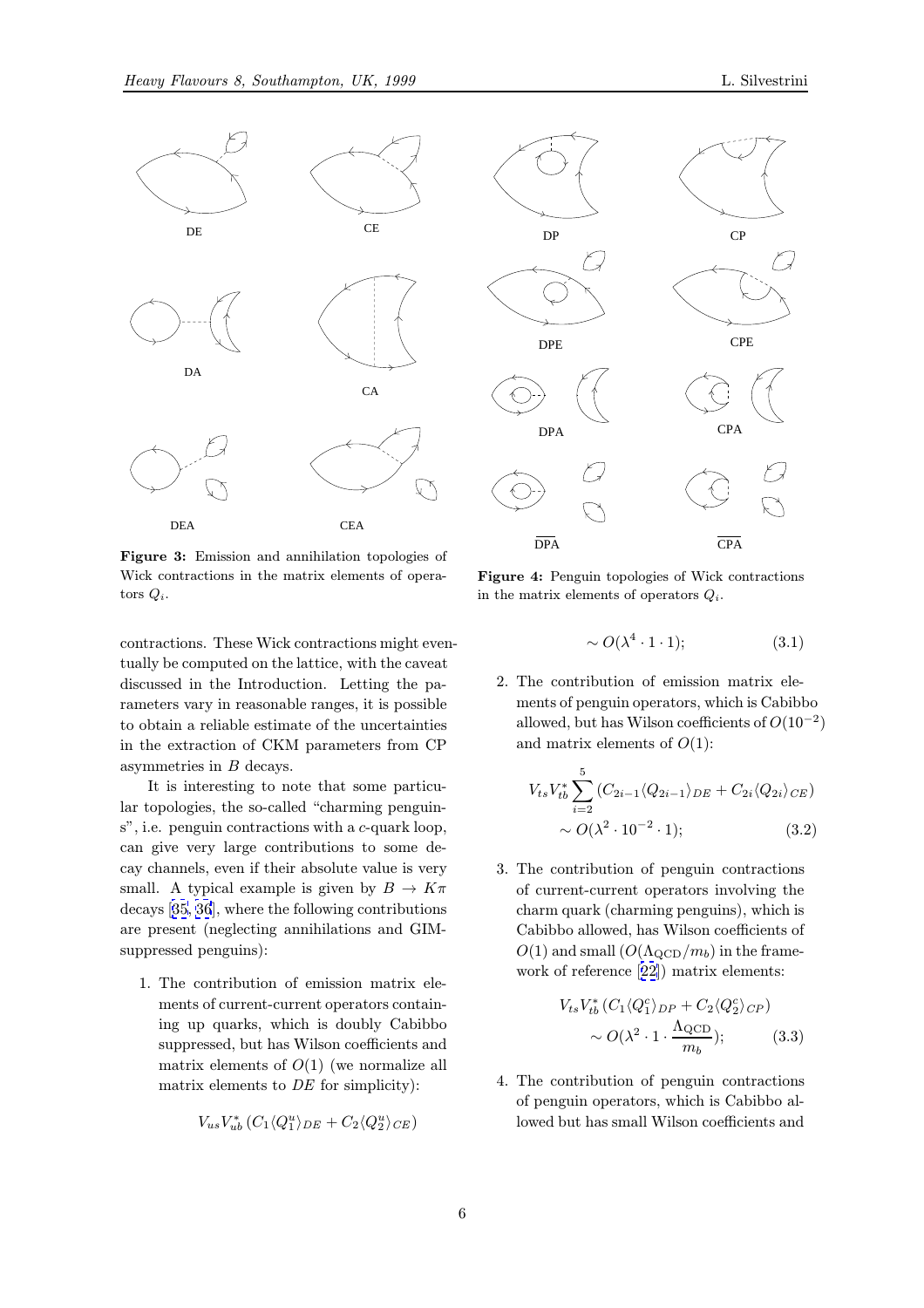<span id="page-5-0"></span>



contractions. These Wick contractions might eventually be computed on the lattice, with the caveat discussed in the Introduction. Letting the parameters vary in reasonable ranges, it is possible to obtain a reliable estimate of the uncertainties in the extraction of CKM parameters from CP asymmetries in B decays.

It is interesting to note that some particular topologies, the so-called "charming penguins", i.e. penguin contractions with a c-quark loop, can give very large contributions to some decay channels, even if their absolute value is very small. A typical example is given by  $B \to K\pi$ decays [35, 36], where the following contributions are present (neglecting annihilations and GIMsuppressed penguins):

1. T[he](#page-10-0) [con](#page-10-0)tribution of emission matrix elements of current-current operators containing up quarks, which is doubly Cabibbo suppressed, but has Wilson coefficients and matrix elements of  $O(1)$  (we normalize all matrix elements to DE for simplicity):

$$
V_{us}V_{ub}^*\left(C_1\langle Q_1^u\rangle_{DE}+C_2\langle Q_2^u\rangle_{CE}\right)
$$



Figure 4: Penguin topologies of Wick contractions in the matrix elements of operators  $Q_i$ .

$$
\sim O(\lambda^4 \cdot 1 \cdot 1); \tag{3.1}
$$

2. The contribution of emission matrix elements of penguin operators, which is Cabibbo allowed, but has Wilson coefficients of  $O(10^{-2})$ and matrix elements of  $O(1)$ :

$$
V_{ts}V_{tb}^* \sum_{i=2}^5 (C_{2i-1} \langle Q_{2i-1} \rangle_{DE} + C_{2i} \langle Q_{2i} \rangle_{CE})
$$
  
 
$$
\sim O(\lambda^2 \cdot 10^{-2} \cdot 1); \qquad (3.2)
$$

3. The contribution of penguin contractions of current-current operators involving the charm quark (charming penguins), which is Cabibbo allowed, has Wilson coefficients of  $O(1)$  and small  $(O(\Lambda_{\text{QCD}}/m_b))$  in the framework of reference [22]) matrix elements:

$$
V_{ts}V_{tb}^*(C_1 \langle Q_1^c \rangle_{DP} + C_2 \langle Q_2^c \rangle_{CP})
$$
  
 
$$
\sim O(\lambda^2 \cdot 1 \cdot \frac{\Lambda_{QCD}}{m_b});
$$
 (3.3)

4. The contribution of penguin contractions of penguin operators, which is Cabibbo allowed but has small Wilson coefficients and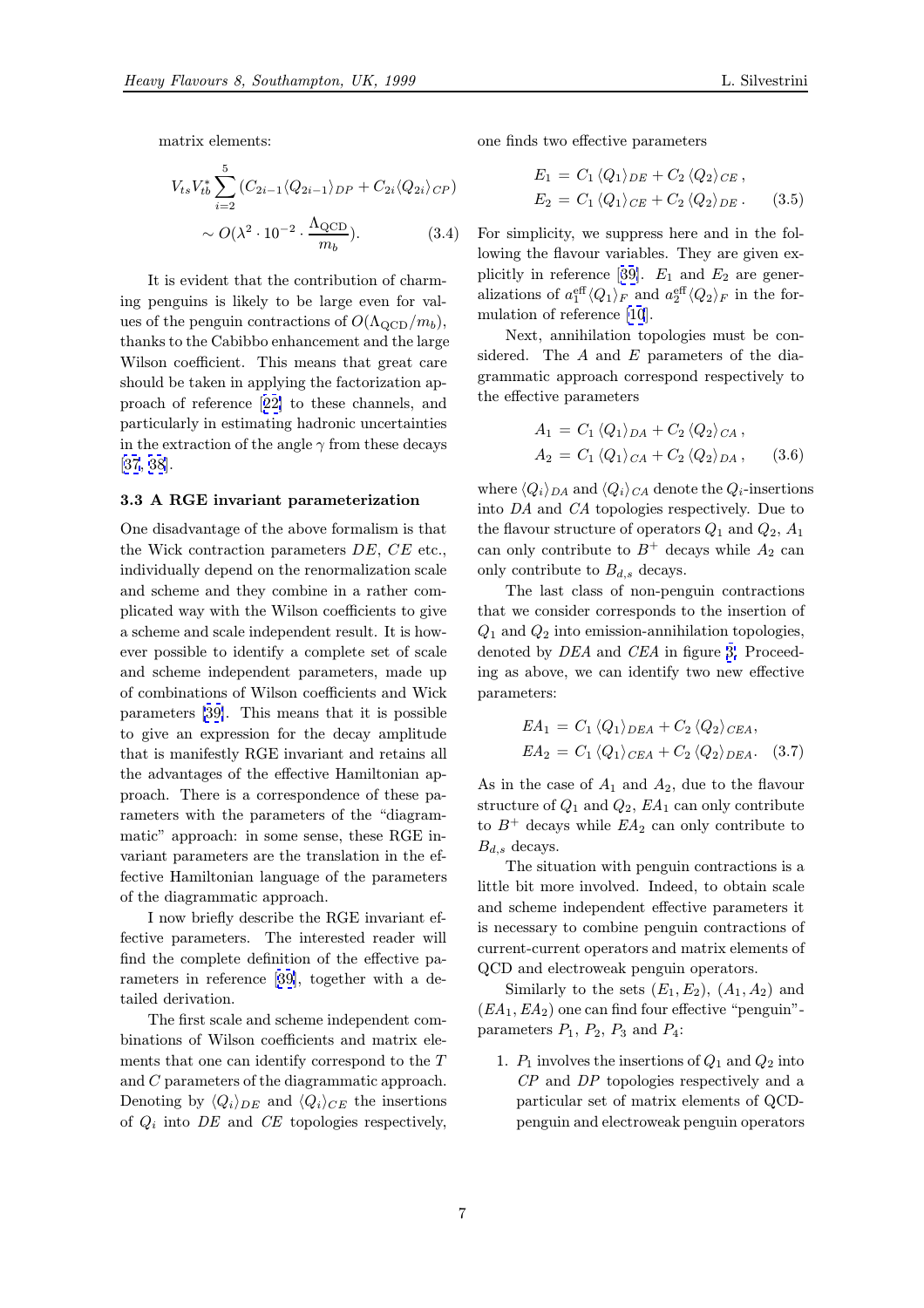<span id="page-6-0"></span>matrix elements:

$$
V_{ts}V_{tb}^* \sum_{i=2}^5 (C_{2i-1} \langle Q_{2i-1} \rangle_{DP} + C_{2i} \langle Q_{2i} \rangle_{CP})
$$
  
 
$$
\sim O(\lambda^2 \cdot 10^{-2} \cdot \frac{\Lambda_{\text{QCD}}}{m_b}). \tag{3.4}
$$

It is evident that the contribution of charming penguins is likely to be large even for values of the penguin contractions of  $O(\Lambda_{\rm QCD}/m_b)$ , thanks to the Cabibbo enhancement and the large Wilson coefficient. This means that great care should be taken in applying the factorization approach of reference [22] to these channels, and particularly in estimating hadronic uncertainties in the extraction of the angle  $\gamma$  from these decays [37, 38].

#### 3.3 A RGE invariant parameterization

One disadvantage of the above formalism is that [the](#page-10-0) [Wi](#page-10-0)ck contraction parameters  $DE$ ,  $CE$  etc., individually depend on the renormalization scale and scheme and they combine in a rather complicated way with the Wilson coefficients to give a scheme and scale independent result. It is however possible to identify a complete set of scale and scheme independent parameters, made up of combinations of Wilson coefficients and Wick parameters [39]. This means that it is possible to give an expression for the decay amplitude that is manifestly RGE invariant and retains all the advantages of the effective Hamiltonian approach. Th[ere](#page-10-0) is a correspondence of these parameters with the parameters of the "diagrammatic" approach: in some sense, these RGE invariant parameters are the translation in the effective Hamiltonian language of the parameters of the diagrammatic approach.

I now briefly describe the RGE invariant effective parameters. The interested reader will find the complete definition of the effective parameters in reference [39], together with a detailed derivation.

The first scale and scheme independent combinations of Wilson coefficients and matrix elements that one can ide[nti](#page-10-0)fy correspond to the T and C parameters of the diagrammatic approach. Denoting by  $\langle Q_i \rangle_{DE}$  and  $\langle Q_i \rangle_{CE}$  the insertions of  $Q_i$  into DE and CE topologies respectively, one finds two effective parameters

$$
E_1 = C_1 \langle Q_1 \rangle_{DE} + C_2 \langle Q_2 \rangle_{CE},
$$
  
\n
$$
E_2 = C_1 \langle Q_1 \rangle_{CE} + C_2 \langle Q_2 \rangle_{DE}. \qquad (3.5)
$$

For simplicity, we suppress here and in the following the flavour variables. They are given explicitly in reference [39].  $E_1$  and  $E_2$  are generalizations of  $a_1^{\text{eff}} \langle Q_1 \rangle_F$  and  $a_2^{\text{eff}} \langle Q_2 \rangle_F$  in the formulation of reference [10].

Next, annihilation topologies must be considered. The  $A$  and  $E$  parameters of the diagrammatic approach correspond respectively to the effective paramete[rs](#page-9-0)

$$
A_1 = C_1 \langle Q_1 \rangle_{DA} + C_2 \langle Q_2 \rangle_{CA},
$$
  
\n
$$
A_2 = C_1 \langle Q_1 \rangle_{CA} + C_2 \langle Q_2 \rangle_{DA},
$$
 (3.6)

where  $\langle Q_i \rangle_{DA}$  and  $\langle Q_i \rangle_{CA}$  denote the  $Q_i$ -insertions into DA and CA topologies respectively. Due to the flavour structure of operators  $Q_1$  and  $Q_2$ ,  $A_1$ can only contribute to  $B^+$  decays while  $A_2$  can only contribute to  $B_{d,s}$  decays.

The last class of non-penguin contractions that we consider corresponds to the insertion of  $Q_1$  and  $Q_2$  into emission-annihilation topologies, denoted by *DEA* and *CEA* in figure 3. Proceeding as above, we can identify two new effective parameters:

$$
EA_1 = C_1 \langle Q_1 \rangle_{DEA} + C_2 \langle Q_2 \rangle_{CEA},
$$
  
\n
$$
EA_2 = C_1 \langle Q_1 \rangle_{CEA} + C_2 \langle Q_2 \rangle_{DEA}. \quad (3.7)
$$

As in the case of  $A_1$  and  $A_2$ , due to the flavour structure of  $Q_1$  and  $Q_2$ ,  $EA_1$  can only contribute to  $B^+$  decays while  $EA_2$  can only contribute to  $B_{d,s}$  decays.

The situation with penguin contractions is a little bit more involved. Indeed, to obtain scale and scheme independent effective parameters it is necessary to combine penguin contractions of current-current operators and matrix elements of QCD and electroweak penguin operators.

Similarly to the sets  $(E_1, E_2)$ ,  $(A_1, A_2)$  and  $(EA<sub>1</sub>, EA<sub>2</sub>)$  one can find four effective "penguin"parameters  $P_1$ ,  $P_2$ ,  $P_3$  and  $P_4$ :

1.  $P_1$  involves the insertions of  $Q_1$  and  $Q_2$  into CP and DP topologies respectively and a particular set of matrix elements of QCDpenguin and electroweak penguin operators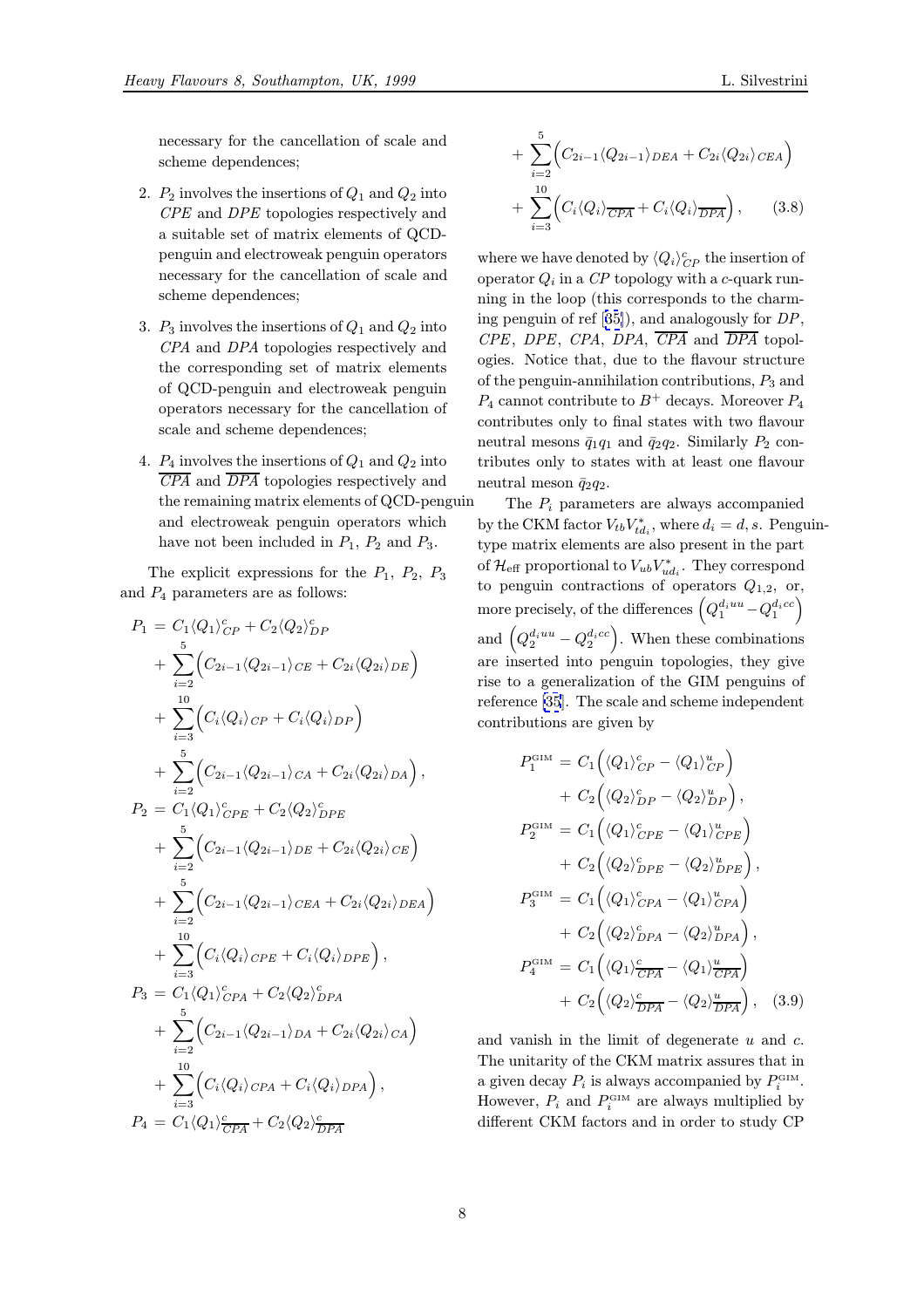necessary for the cancellation of scale and scheme dependences;

- 2.  $P_2$  involves the insertions of  $Q_1$  and  $Q_2$  into CPE and DPE topologies respectively and a suitable set of matrix elements of QCDpenguin and electroweak penguin operators necessary for the cancellation of scale and scheme dependences;
- 3.  $P_3$  involves the insertions of  $Q_1$  and  $Q_2$  into CPA and DPA topologies respectively and the corresponding set of matrix elements of QCD-penguin and electroweak penguin operators necessary for the cancellation of scale and scheme dependences;
- 4.  $P_4$  involves the insertions of  $Q_1$  and  $Q_2$  into CPA and DPA topologies respectively and the remaining matrix elements of QCD-penguin and electroweak penguin operators which have not been included in  $P_1$ ,  $P_2$  and  $P_3$ .

The explicit expressions for the  $P_1$ ,  $P_2$ ,  $P_3$ and  $P_4$  parameters are as follows:

$$
P_{1} = C_{1} \langle Q_{1} \rangle_{CP}^{c} + C_{2} \langle Q_{2} \rangle_{DP}^{c}
$$
  
+ 
$$
\sum_{i=2}^{5} \Big(C_{2i-1} \langle Q_{2i-1} \rangle_{CE} + C_{2i} \langle Q_{2i} \rangle_{DE}\Big)
$$
  
+ 
$$
\sum_{i=3}^{10} \Big(C_{i} \langle Q_{i} \rangle_{CP} + C_{i} \langle Q_{i} \rangle_{DP}\Big)
$$
  
+ 
$$
\sum_{i=2}^{5} \Big(C_{2i-1} \langle Q_{2i-1} \rangle_{CA} + C_{2i} \langle Q_{2i} \rangle_{DA}\Big),
$$
  

$$
P_{2} = C_{1} \langle Q_{1} \rangle_{CPE}^{c} + C_{2} \langle Q_{2} \rangle_{DPE}^{c}
$$
  
+ 
$$
\sum_{i=2}^{5} \Big(C_{2i-1} \langle Q_{2i-1} \rangle_{DE} + C_{2i} \langle Q_{2i} \rangle_{CE}\Big)
$$
  
+ 
$$
\sum_{i=2}^{5} \Big(C_{2i-1} \langle Q_{2i-1} \rangle_{CEA} + C_{2i} \langle Q_{2i} \rangle_{DEA}\Big)
$$
  
+ 
$$
\sum_{i=3}^{10} \Big(C_{i} \langle Q_{i} \rangle_{CPE} + C_{i} \langle Q_{i} \rangle_{DPE}\Big),
$$
  

$$
P_{3} = C_{1} \langle Q_{1} \rangle_{CPA}^{c} + C_{2} \langle Q_{2} \rangle_{DPA}^{c}
$$
  
+ 
$$
\sum_{i=2}^{10} \Big(C_{2i-1} \langle Q_{2i-1} \rangle_{DA} + C_{2i} \langle Q_{2i} \rangle_{CA}\Big)
$$
  
+ 
$$
\sum_{i=3}^{10} \Big(C_{i} \langle Q_{i} \rangle_{CPA} + C_{i} \langle Q_{i} \rangle_{DPA}\Big),
$$
  

$$
P_{4} = C_{1} \langle Q_{1} \rangle_{CPA}^{c} + C_{2} \langle Q_{2} \rangle_{\overline{DPA}}^{c}
$$

$$
+\sum_{i=2}^{5} \Big(C_{2i-1} \langle Q_{2i-1} \rangle_{DEA} + C_{2i} \langle Q_{2i} \rangle_{CEA}\Big) + \sum_{i=3}^{10} \Big(C_i \langle Q_i \rangle_{\overline{CPA}} + C_i \langle Q_i \rangle_{\overline{DPA}}\Big), \qquad (3.8)
$$

where we have denoted by  $\langle Q_i \rangle_{CP}^c$  the insertion of operator  $Q_i$  in a CP topology with a c-quark running in the loop (this corresponds to the charming penguin of ref [35]), and analogously for DP,  $CPE$ , DPE, CPA, DPA,  $\overline{CPA}$  and  $\overline{DPA}$  topologies. Notice that, due to the flavour structure of the penguin-annihilation contributions,  $P_3$  and  $P_4$  cannot contribu[te](#page-10-0) to  $B^+$  decays. Moreover  $P_4$ contributes only to final states with two flavour neutral mesons  $\bar{q}_1q_1$  and  $\bar{q}_2q_2$ . Similarly  $P_2$  contributes only to states with at least one flavour neutral meson  $\bar{q}_2q_2$ .

The  $P_i$  parameters are always accompanied by the CKM factor  $V_{tb}V_{td_i}^*$ , where  $d_i = d, s$ . Penguintype matrix elements are also present in the part of  $\mathcal{H}_\mathrm{eff}$  proportional to  $V_{ub}V_{ud_i}^*$ . They correspond to penguin contractions of operators  $Q_{1,2}$ , or, more precisely, of the differences  $\left(Q_1^{d_i uu}-Q_1^{d_i cc}\right)$ and  $(Q_2^{d_i u u} - Q_2^{d_i c c})$ . When these combinations are inserted into penguin topologies, they give rise to a generalization of the GIM penguins of reference [35]. The scale and scheme independent contributions are given by

$$
P_1^{\text{GIM}} = C_1 \Big( \langle Q_1 \rangle_{CP}^c - \langle Q_1 \rangle_{CP}^u \Big) + C_2 \Big( \langle Q_2 \rangle_{DP}^c - \langle Q_2 \rangle_{DP}^u \Big), P_2^{\text{GIM}} = C_1 \Big( \langle Q_1 \rangle_{CPE}^c - \langle Q_1 \rangle_{CPE}^u \Big) + C_2 \Big( \langle Q_2 \rangle_{DPE}^c - \langle Q_2 \rangle_{DPE}^u \Big), P_3^{\text{GIM}} = C_1 \Big( \langle Q_1 \rangle_{CPA}^c - \langle Q_1 \rangle_{CPA}^u \Big) + C_2 \Big( \langle Q_2 \rangle_{DPA}^c - \langle Q_2 \rangle_{DPA}^u \Big), P_4^{\text{GIM}} = C_1 \Big( \langle Q_1 \rangle_{CPA}^c - \langle Q_1 \rangle_{CPA}^u \Big) + C_2 \Big( \langle Q_2 \rangle_{\overline{DPA}}^c - \langle Q_2 \rangle_{\overline{DPA}}^u \Big), \quad (3.9)
$$

and vanish in the limit of degenerate  $u$  and  $c$ . The unitarity of the CKM matrix assures that in a given decay  $P_i$  is always accompanied by  $P_i^{\text{GIM}}$ . However,  $P_i$  and  $P_i^{\text{GIM}}$  are always multiplied by different CKM factors and in order to study CP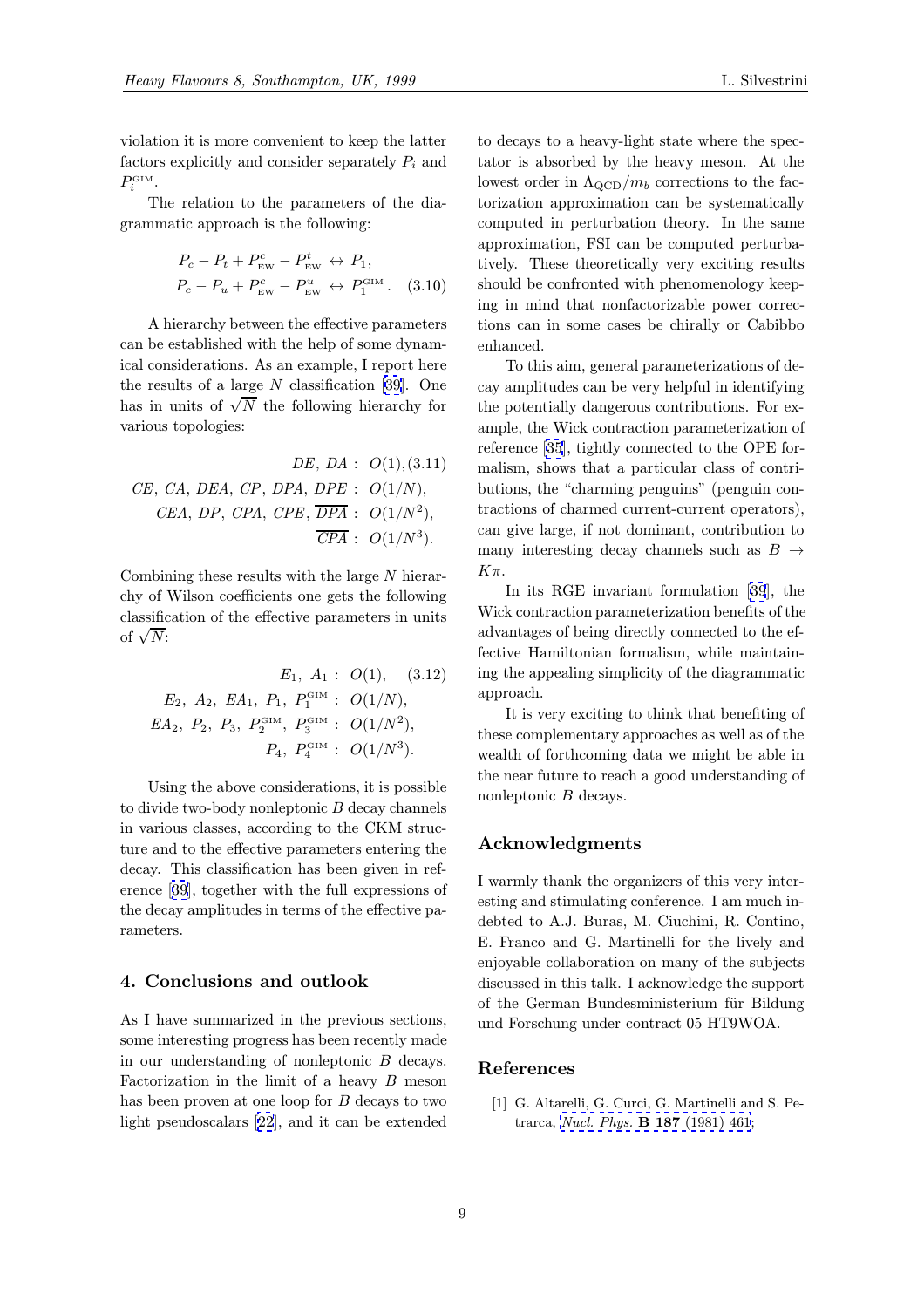<span id="page-8-0"></span>The relation to the parameters of the diagrammatic approach is the following:

$$
P_c - P_t + P_{\text{EW}}^c - P_{\text{EW}}^t \leftrightarrow P_1,
$$
  

$$
P_c - P_u + P_{\text{EW}}^c - P_{\text{EW}}^u \leftrightarrow P_1^{\text{GIM}}.
$$
 (3.10)

A hierarchy between the effective parameters can be established with the help of some dynamical considerations. As an example, I report here the results of a large  $N$  classification [39]. One has in units of  $\sqrt{N}$  the following hierarchy for various topologies:

*DE*, *DA* : *O*(1), (3.11)  
*CE*, *CA*, *DEA*, *CP*, *DPA*, *DFE* : *O*(1/*N*),  
*CEA*, *DP*, *CPA*, *CFE*, 
$$
\overline{DPA}
$$
 : *O*(1/*N*<sup>2</sup>),  
 $\overline{CPA}$  : *O*(1/*N*<sup>3</sup>).

Combining these results with the large N hierarchy of Wilson coefficients one gets the following classification of the effective parameters in units of  $\sqrt{N}$ :

$$
E_1, A_1: O(1), (3.12)
$$
  
\n
$$
E_2, A_2, EA_1, P_1, P_1^{\text{GIM}}: O(1/N),
$$
  
\n
$$
EA_2, P_2, P_3, P_2^{\text{CM}}, P_3^{\text{GIM}}: O(1/N^2),
$$
  
\n
$$
P_4, P_4^{\text{GIM}}: O(1/N^3).
$$

Using the above considerations, it is possible to divide two-body nonleptonic B decay channels in various classes, according to the CKM structure and to the effective parameters entering the decay. This classification has been given in reference [39], together with the full expressions of the decay amplitudes in terms of the effective parameters.

## 4. Co[nc](#page-10-0)lusions and outlook

As I have summarized in the previous sections, some interesting progress has been recently made in our understanding of nonleptonic B decays. Factorization in the limit of a heavy  $B$  meson has been proven at one loop for B decays to two light pseudoscalars [22], and it can be extended

to decays to a heavy-light state where the spectator is absorbed by the heavy meson. At the lowest order in  $\Lambda_{\text{QCD}}/m_b$  corrections to the factorization approximation can be systematically computed in perturbation theory. In the same approximation, FSI can be computed perturbatively. These theoretically very exciting results should be confronted with phenomenology keeping in mind that nonfactorizable power corrections can in some cases be chirally or Cabibbo enhanced.

To this aim, general parameterizations of decay amplitudes can be very helpful in identifying the potentially dangerous contributions. For example, the Wick contraction parameterization of reference [35], tightly connected to the OPE formalism, shows that a particular class of contributions, the "charming penguins" (penguin contractions of charmed current-current operators), can give l[arg](#page-10-0)e, if not dominant, contribution to many interesting decay channels such as  $B \rightarrow$  $K\pi$ .

In its RGE invariant formulation [39], the Wick contraction parameterization benefits of the advantages of being directly connected to the effective Hamiltonian formalism, while maintaining the appealing simplicity of the diagr[am](#page-10-0)matic approach.

It is very exciting to think that benefiting of these complementary approaches as well as of the wealth of forthcoming data we might be able in the near future to reach a good understanding of nonleptonic B decays.

#### Acknowledgments

I warmly thank the organizers of this very interesting and stimulating conference. I am much indebted to A.J. Buras, M. Ciuchini, R. Contino, E. Franco and G. Martinelli for the lively and enjoyable collaboration on many of the subjects discussed in this talk. I acknowledge the support of the German Bundesministerium für Bildung und Forschung under contract 05 HT9WOA.

#### References

[1] G. Altarelli, G. Curci, G. Martinelli and S. Petrarca, Nucl. Phys. B 187 (1981) 461;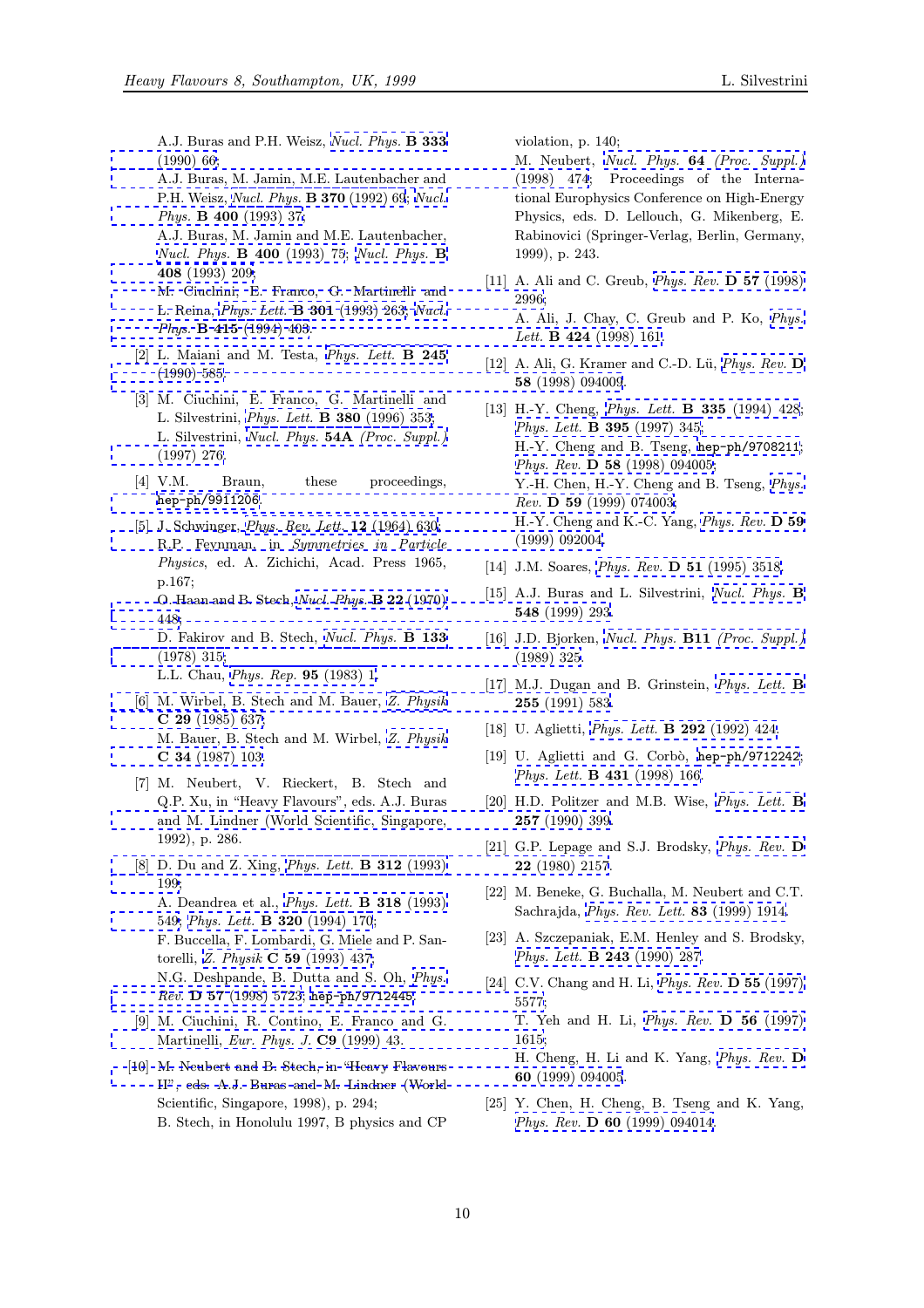<span id="page-9-0"></span>A.J. Buras and P.H. Weisz, *Nucl. Phys.* **B** 333 (1990) 66;

A.J. Buras, M. Jamin, M.E. Lautenbacher and P.H. Weisz, Nucl. Phys. B 3[70](http://www-spires.slac.stanford.edu/spires/find/hep/www?j=NUPHA%2CB333%2C66) (1992) 69; Nucl. Phys. B 400 (1993) 37; [A.J. Bura](http://www-spires.slac.stanford.edu/spires/find/hep/www?j=NUPHA%2CB333%2C66)s, M. Jamin and M.E. Lautenbacher, Nucl. Phys. B 400 (1993) 75; Nucl. Phys. [B](http://www-spires.slac.stanford.edu/spires/find/hep/www?j=NUPHA%2CB400%2C37) 408 (1993) [209;](http://www-spires.slac.stanford.edu/spires/find/hep/www?j=NUPHA%2CB370%2C69) [M. Ciuchini, E. Franc](http://www-spires.slac.stanford.edu/spires/find/hep/www?j=NUPHA%2CB400%2C37)o, G. Martinelli and L. Reina, Phys. Lett. B 301 (1993) 263; Nucl. Phys. **B 415** [\(1994\) 403.](http://www-spires.slac.stanford.edu/spires/find/hep/www?j=NUPHA%2CB400%2C75)

- [\[2\] L. Maiani and](http://www-spires.slac.stanford.edu/spires/find/hep/www?j=NUPHA%2CB408%2C209) M. Testa, Phys. Lett. B 245 [\(1990\) 585.](http://www-spires.slac.stanford.edu/spires/find/hep/www?j=PHRVA%2CD57%2C2996)
- [\[3\] M. Ciuchini, E. Franc](http://www-spires.slac.stanford.edu/spires/find/hep/www?j=NUPHA%2CB415%2C403)[o,](http://www-spires.slac.stanford.edu/spires/find/hep/www?j=PHLTA%2CB301%2C263) [G.](http://www-spires.slac.stanford.edu/spires/find/hep/www?j=PHLTA%2CB301%2C263) [Martinel](http://www-spires.slac.stanford.edu/spires/find/hep/www?j=PHLTA%2CB301%2C263)li [and](http://www-spires.slac.stanford.edu/spires/find/hep/www?j=NUPHA%2CB415%2C403) L. Silvestrini, Phys. Lett. B 380 (1996) 353; L. Silvestrini, Nucl. Phys. 54A [\(Proc. Suppl.\)](http://www-spires.slac.stanford.edu/spires/find/hep/www?j=PHLTA%2CB245%2C585) [\(1997\) 276.](http://www-spires.slac.stanford.edu/spires/find/hep/www?j=PHRVA%2CD58%2C094009)
- [4] V.M. Bra[un, these proceeding](http://www-spires.slac.stanford.edu/spires/find/hep/www?j=PHLTA%2CB380%2C353)s, hep-ph/9911206.
- [\[5\] J. Schwing](http://www-spires.slac.stanford.edu/spires/find/hep/www?j=NUPHZ%2C54A%2C276)er, *[Phys.](http://www-spires.slac.stanford.edu/spires/find/hep/www?j=NUPHZ%2C54A%2C276) [Rev.](http://www-spires.slac.stanford.edu/spires/find/hep/www?j=NUPHZ%2C54A%2C276) [Lett.](http://www-spires.slac.stanford.edu/spires/find/hep/www?j=NUPHZ%2C54A%2C276)* **12** (1964) 630; R.P. Feynman, in Symmetries in Particle Physics, ed. A. Zichichi, Acad. Press 1965, [p.167;](http://xxx.lanl.gov/abs/hep-ph/9911206) O. Haan and B. Stech, [Nucl. Phys.](http://www-spires.slac.stanford.edu/spires/find/hep/www?j=PRLTA%2C12%2C630) B 22 (1970) 448;

D. Fakirov and B. Stech, Nucl. Phys. B 133 (1978) 315;

L.L. Chau, Phys. Rep. 95 [\(1983\) 1.](http://www-spires.slac.stanford.edu/spires/find/hep/www?j=NUPHA%2CB22%2C448)

- [\[6\] M.](http://www-spires.slac.stanford.edu/spires/find/hep/www?j=NUPHA%2CB22%2C448) Wirbel, B. Stech and M. Bauer, [Z. Physik](http://www-spires.slac.stanford.edu/spires/find/hep/www?j=NUPHA%2CB133%2C315) C 29 (1985) 637; [M. Bauer,](http://www-spires.slac.stanford.edu/spires/find/hep/www?j=NUPHA%2CB133%2C315) [B. Stech and M. Wirbel,](http://www-spires.slac.stanford.edu/spires/find/hep/www?j=NUPHZ%2CB11%2C325) Z. Physik C 34 (198[7\) 103.](http://www-spires.slac.stanford.edu/spires/find/hep/www?j=PRPLC%2C95%2C1)
- [\[7\] M. Neubert, V. Rieckert, B. Stech and](http://www-spires.slac.stanford.edu/spires/find/hep/www?j=PHLTA%2CB255%2C583) [Q.P. Xu, in "Hea](http://www-spires.slac.stanford.edu/spires/find/hep/www?j=ZEPYA%2CC29%2C637)vy Flavours", eds. A.J. Buras and M. Lindner (World Scientific, [Singapore,](http://www-spires.slac.stanford.edu/spires/find/hep/www?j=ZEPYA%2CC34%2C103) [1992\), p. 286.](http://www-spires.slac.stanford.edu/spires/find/hep/www?j=ZEPYA%2CC34%2C103)
- [8] D. Du and Z. Xing, Phys. Lett. B 312 (1993) 199; A. Deandrea et al., Phys. Lett. B 318 (1993) 549; Phys. Lett. B 320 (1994) 170; [F. Buccella, F. Lomb](http://www-spires.slac.stanford.edu/spires/find/hep/www?j=PHRVA%2CD22%2C2157)[ardi, G. Miele and P. San](http://www-spires.slac.stanford.edu/spires/find/hep/www?j=PHLTA%2CB312%2C199)[tore](http://www-spires.slac.stanford.edu/spires/find/hep/www?j=PHLTA%2CB312%2C199)lli, Z. Physik C 59 (1993) 437; N.G. Deshpande, B[. Dutta and S. Oh,](http://www-spires.slac.stanford.edu/spires/find/hep/www?j=PHLTA%2CB318%2C549) Phys. [Rev](http://www-spires.slac.stanford.edu/spires/find/hep/www?j=PHLTA%2CB318%2C549). D 57 [\(1998\) 5723;](http://www-spires.slac.stanford.edu/spires/find/hep/www?j=PHLTA%2CB320%2C170) hep-ph/9712445.
- [9] M. Ciuchini, R. Contino, E. Franco and G. Martinelli, [Eur. Phys. J.](http://www-spires.slac.stanford.edu/spires/find/hep/www?j=ZEPYA%2CC59%2C437) C9 (1999) 43.
- [\[10\] M. Neubert and B. Ste](http://www-spires.slac.stanford.edu/spires/find/hep/www?j=PHRVA%2CD57%2C5723)c[h, in "Heavy Fla](http://xxx.lanl.gov/abs/hep-ph/9712445)[vours](http://www-spires.slac.stanford.edu/spires/find/hep/www?j=PHRVA%2CD57%2C5723) [II", eds. A.J. Buras and M. Lindner \(World](http://www-spires.slac.stanford.edu/spires/find/hep/www?j=PHRVA%2CD55%2C5577) Scientific, Singapore, 1998), p. 294; [B. Stech, in Honolulu 1997, B physics and CP](http://www-spires.slac.stanford.edu/spires/find/hep/www?j=PHRVA%2CD56%2C1615)

violation, p. 140;

M. Neubert, Nucl. Phys. 64 (Proc. Suppl.) (1998) 474; Proceedings of the International Europhysics Conference on High-Energy Physics, eds. D. Lellouch, G. Mikenberg, E. Rabinovici (S[pringer-Verlag, Berlin, Germany,](http://www-spires.slac.stanford.edu/spires/find/hep/www?j=NUPHZ%2C64%2C474) [1999\), p. 24](http://www-spires.slac.stanford.edu/spires/find/hep/www?j=NUPHZ%2C64%2C474)3.

- [11] A. Ali and C. Greub, *Phys. Rev.* **D 57** (1998) 2996; A. Ali, J. Chay, C. Greub and P. Ko, Phys. Lett. **B** 424 (1998) 161.
- [12] A. Ali, G. Kramer and C.-D. Lü, *[Phys. Rev.](http://www-spires.slac.stanford.edu/spires/find/hep/www?j=PHRVA%2CD57%2C2996)*  $\bf{D}$ 58 (1998) 094009.
- [\[13\] H.-Y. Cheng,](http://www-spires.slac.stanford.edu/spires/find/hep/www?j=PHLTA%2CB424%2C161) *Phys. Lett.* **B 335** (1994[\)](http://www-spires.slac.stanford.edu/spires/find/hep/www?j=PHLTA%2CB424%2C161) [428;](http://www-spires.slac.stanford.edu/spires/find/hep/www?j=PHLTA%2CB424%2C161) Phys. Lett. B 395 (1997) 345; H.-Y. Cheng and B. Tseng, hep[-ph/9708211](http://www-spires.slac.stanford.edu/spires/find/hep/www?j=PHRVA%2CD58%2C094009); Phys. Rev. D 58 (1998) 094005; Y.-H. Chen, [H.-Y. Cheng and B. Tseng,](http://www-spires.slac.stanford.edu/spires/find/hep/www?j=PHLTA%2CB335%2C428) Phys. Rev. D 59 [\(1999\) 074003;](http://www-spires.slac.stanford.edu/spires/find/hep/www?j=PHLTA%2CB395%2C345) H.-Y. Cheng and K.-C. Yang, [Phys. Rev.](http://xxx.lanl.gov/abs/hep-ph/9708211) D 59 [\(1999\) 092004.](http://www-spires.slac.stanford.edu/spires/find/hep/www?j=PHRVA%2CD58%2C094005)
- [14] J.M. Soares, *Phys. Rev.* **D 51** (1995) 35[18.](http://www-spires.slac.stanford.edu/spires/find/hep/www?j=PHRVA%2CD59%2C074003)
- [\[15\]](http://www-spires.slac.stanford.edu/spires/find/hep/www?j=PHRVA%2CD59%2C074003) [A.J.](http://www-spires.slac.stanford.edu/spires/find/hep/www?j=PHRVA%2CD59%2C074003) [Buras](http://www-spires.slac.stanford.edu/spires/find/hep/www?j=PHRVA%2CD59%2C074003) [and](http://www-spires.slac.stanford.edu/spires/find/hep/www?j=PHRVA%2CD59%2C074003) [L.](http://www-spires.slac.stanford.edu/spires/find/hep/www?j=PHRVA%2CD59%2C074003) [Silvest](http://www-spires.slac.stanford.edu/spires/find/hep/www?j=PHRVA%2CD59%2C074003)rini, [Nucl. Phys.](http://www-spires.slac.stanford.edu/spires/find/hep/www?j=PHRVA%2CD59%2C092004) B 548 [\(1999\) 29](http://www-spires.slac.stanford.edu/spires/find/hep/www?j=PHRVA%2CD59%2C092004)3.
- [16] J.D. Bjorken, [Nucl. Phys.](http://www-spires.slac.stanford.edu/spires/find/hep/www?j=PHRVA%2CD51%2C3518) **B11** (Proc. Suppl.) (1989) 325.
- [\[17\] M.J. Dugan an](http://www-spires.slac.stanford.edu/spires/find/hep/www?j=NUPHA%2CB548%2C293)d B. Grinstein, [Phys.](http://www-spires.slac.stanford.edu/spires/find/hep/www?j=NUPHA%2CB548%2C293) [Lett.](http://www-spires.slac.stanford.edu/spires/find/hep/www?j=NUPHA%2CB548%2C293) **B** 255 (1991) 583.
- [18] U. Aglietti, *Phys. Lett.* **B 292** [\(1992\)](http://www-spires.slac.stanford.edu/spires/find/hep/www?j=NUPHZ%2CB11%2C325) [424.](http://www-spires.slac.stanford.edu/spires/find/hep/www?j=NUPHZ%2CB11%2C325)
- [19] U. Aglietti and G. Corbò, he[p-ph/9712242](http://www-spires.slac.stanford.edu/spires/find/hep/www?j=PHLTA%2CB255%2C583); Phys. Lett. **B 431** (1998) 166.
- [20] H.D. Politz[er and M.B. Wise,](http://www-spires.slac.stanford.edu/spires/find/hep/www?j=PHLTA%2CB292%2C424) Phys. Lett. **B** 257 (1990) 399.
- [21] [G.P. Lepage and S.J. Brodsk](http://www-spires.slac.stanford.edu/spires/find/hep/www?j=PHLTA%2CB431%2C166)y, *[Phys.](http://xxx.lanl.gov/abs/hep-ph/9712242) [Rev.](http://xxx.lanl.gov/abs/hep-ph/9712242)* D 22 (1980) 2157.
- [\[22\] M. Beneke, G. B](http://www-spires.slac.stanford.edu/spires/find/hep/www?j=PHLTA%2CB257%2C399)uchalla, M. Ne[ubert](http://www-spires.slac.stanford.edu/spires/find/hep/www?j=PHLTA%2CB257%2C399) [and](http://www-spires.slac.stanford.edu/spires/find/hep/www?j=PHLTA%2CB257%2C399) [C.T.](http://www-spires.slac.stanford.edu/spires/find/hep/www?j=PHLTA%2CB257%2C399) Sachrajda, Phys. Rev. Lett. 83 [\(1999\) 1914.](http://www-spires.slac.stanford.edu/spires/find/hep/www?j=PHRVA%2CD22%2C2157)
- [23] A. Szczepaniak, E.M. Henley and S. Brodsky, Phys. Lett. **B 243** (1990) 287.
- [24] C.V. Chan[g and H. Li,](http://www-spires.slac.stanford.edu/spires/find/hep/www?j=PRLTA%2C83%2C1914) *Phys. Rev.* **D 55** (1997) 5577; [T. Yeh and H. Li,](http://www-spires.slac.stanford.edu/spires/find/hep/www?j=PHLTA%2CB243%2C287) Phys. Rev. D 56 (1997) 1615; H. Cheng, H. Li and K. Yang, [Phys. Rev.](http://www-spires.slac.stanford.edu/spires/find/hep/www?j=PHRVA%2CD55%2C5577) D 60 (1999) 094005.
- [25] Y. Chen, H. Cheng[, B. Tseng and K. Yang,](http://www-spires.slac.stanford.edu/spires/find/hep/www?j=PHRVA%2CD56%2C1615) Phys. Rev. D 60 (1999) 094014.